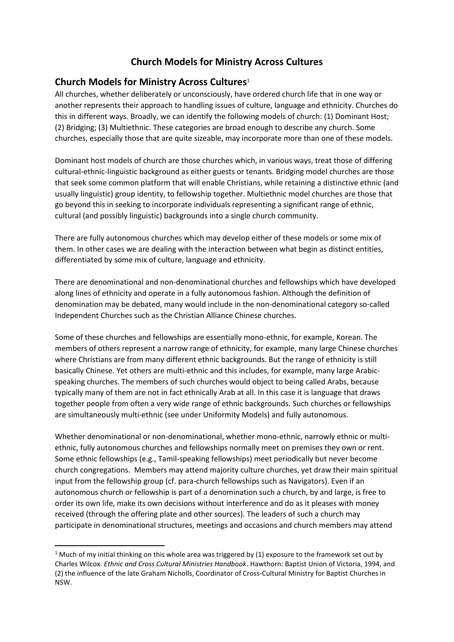# **Church Models for Ministry Across Cultures**

# **Church Models for Ministry Across Cultures**<sup>1</sup>

All churches, whether deliberately or unconsciously, have ordered church life that in one way or another represents their approach to handling issues of culture, language and ethnicity. Churches do this in different ways. Broadly, we can identify the following models of church: (1) Dominant Host; (2) Bridging; (3) Multiethnic. These categories are broad enough to describe any church. Some churches, especially those that are quite sizeable, may incorporate more than one of these models.

Dominant host models of church are those churches which, in various ways, treat those of differing cultural-ethnic-linguistic background as either guests or tenants. Bridging model churches are those that seek some common platform that will enable Christians, while retaining a distinctive ethnic (and usually linguistic) group identity, to fellowship together. Multiethnic model churches are those that go beyond this in seeking to incorporate individuals representing a significant range of ethnic, cultural (and possibly linguistic) backgrounds into a single church community.

There are fully autonomous churches which may develop either of these models or some mix of them. In other cases we are dealing with the interaction between what begin as distinct entities, differentiated by some mix of culture, language and ethnicity.

There are denominational and non-denominational churches and fellowships which have developed along lines of ethnicity and operate in a fully autonomous fashion. Although the definition of denomination may be debated, many would include in the non-denominational category so-called Independent Churches such as the Christian Alliance Chinese churches.

Some of these churches and fellowships are essentially mono-ethnic, for example, Korean. The members of others represent a narrow range of ethnicity, for example, many large Chinese churches where Christians are from many different ethnic backgrounds. But the range of ethnicity is still basically Chinese. Yet others are multi-ethnic and this includes, for example, many large Arabicspeaking churches. The members of such churches would object to being called Arabs, because typically many of them are not in fact ethnically Arab at all. In this case it is language that draws together people from often a very wide range of ethnic backgrounds. Such churches or fellowships are simultaneously multi-ethnic (see under Uniformity Models) and fully autonomous.

Whether denominational or non-denominational, whether mono-ethnic, narrowly ethnic or multiethnic, fully autonomous churches and fellowships normally meet on premises they own or rent. Some ethnic fellowships (e.g., Tamil-speaking fellowships) meet periodically but never become church congregations. Members may attend majority culture churches, yet draw their main spiritual input from the fellowship group (cf. para-church fellowships such as Navigators). Even if an autonomous church or fellowship is part of a denomination such a church, by and large, is free to order its own life, make its own decisions without interference and do as it pleases with money received (through the offering plate and other sources). The leaders of such a church may participate in denominational structures, meetings and occasions and church members may attend

**.** 

<sup>&</sup>lt;sup>1</sup> Much of my initial thinking on this whole area was triggered by  $(1)$  exposure to the framework set out by Charles Wilcox. *Ethnic and Cross Cultural Ministries Handbook*. Hawthorn: Baptist Union of Victoria, 1994, and (2) the influence of the late Graham Nicholls, Coordinator of Cross-Cultural Ministry for Baptist Churches in NSW.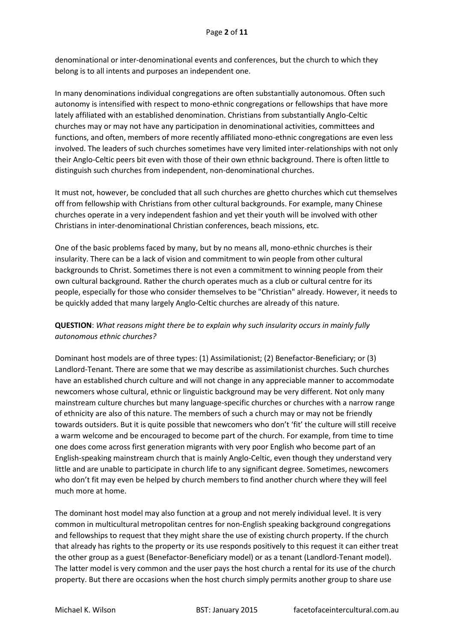denominational or inter-denominational events and conferences, but the church to which they belong is to all intents and purposes an independent one.

In many denominations individual congregations are often substantially autonomous. Often such autonomy is intensified with respect to mono-ethnic congregations or fellowships that have more lately affiliated with an established denomination. Christians from substantially Anglo-Celtic churches may or may not have any participation in denominational activities, committees and functions, and often, members of more recently affiliated mono-ethnic congregations are even less involved. The leaders of such churches sometimes have very limited inter-relationships with not only their Anglo-Celtic peers bit even with those of their own ethnic background. There is often little to distinguish such churches from independent, non-denominational churches.

It must not, however, be concluded that all such churches are ghetto churches which cut themselves off from fellowship with Christians from other cultural backgrounds. For example, many Chinese churches operate in a very independent fashion and yet their youth will be involved with other Christians in inter-denominational Christian conferences, beach missions, etc.

One of the basic problems faced by many, but by no means all, mono-ethnic churches is their insularity. There can be a lack of vision and commitment to win people from other cultural backgrounds to Christ. Sometimes there is not even a commitment to winning people from their own cultural background. Rather the church operates much as a club or cultural centre for its people, especially for those who consider themselves to be "Christian" already. However, it needs to be quickly added that many largely Anglo-Celtic churches are already of this nature.

# **QUESTION**: *What reasons might there be to explain why such insularity occurs in mainly fully autonomous ethnic churches?*

Dominant host models are of three types: (1) Assimilationist; (2) Benefactor-Beneficiary; or (3) Landlord-Tenant. There are some that we may describe as assimilationist churches. Such churches have an established church culture and will not change in any appreciable manner to accommodate newcomers whose cultural, ethnic or linguistic background may be very different. Not only many mainstream culture churches but many language-specific churches or churches with a narrow range of ethnicity are also of this nature. The members of such a church may or may not be friendly towards outsiders. But it is quite possible that newcomers who don't 'fit' the culture will still receive a warm welcome and be encouraged to become part of the church. For example, from time to time one does come across first generation migrants with very poor English who become part of an English-speaking mainstream church that is mainly Anglo-Celtic, even though they understand very little and are unable to participate in church life to any significant degree. Sometimes, newcomers who don't fit may even be helped by church members to find another church where they will feel much more at home.

The dominant host model may also function at a group and not merely individual level. It is very common in multicultural metropolitan centres for non-English speaking background congregations and fellowships to request that they might share the use of existing church property. If the church that already has rights to the property or its use responds positively to this request it can either treat the other group as a guest (Benefactor-Beneficiary model) or as a tenant (Landlord-Tenant model). The latter model is very common and the user pays the host church a rental for its use of the church property. But there are occasions when the host church simply permits another group to share use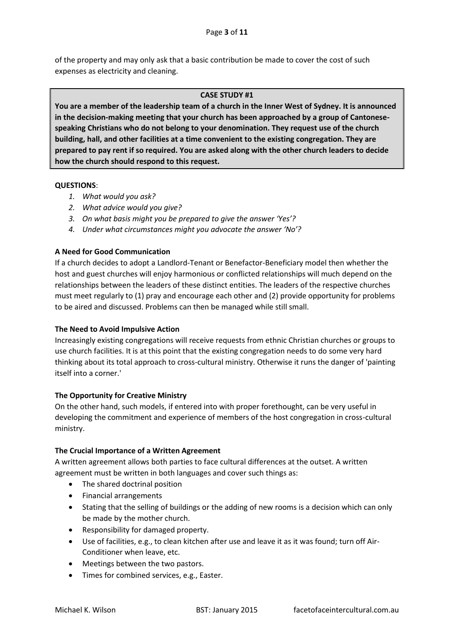of the property and may only ask that a basic contribution be made to cover the cost of such expenses as electricity and cleaning.

### **CASE STUDY #1**

**You are a member of the leadership team of a church in the Inner West of Sydney. It is announced in the decision-making meeting that your church has been approached by a group of Cantonesespeaking Christians who do not belong to your denomination. They request use of the church building, hall, and other facilities at a time convenient to the existing congregation. They are prepared to pay rent if so required. You are asked along with the other church leaders to decide how the church should respond to this request.**

#### **QUESTIONS**:

- *1. What would you ask?*
- *2. What advice would you give?*
- *3. On what basis might you be prepared to give the answer 'Yes'?*
- *4. Under what circumstances might you advocate the answer 'No'?*

# **A Need for Good Communication**

If a church decides to adopt a Landlord-Tenant or Benefactor-Beneficiary model then whether the host and guest churches will enjoy harmonious or conflicted relationships will much depend on the relationships between the leaders of these distinct entities. The leaders of the respective churches must meet regularly to (1) pray and encourage each other and (2) provide opportunity for problems to be aired and discussed. Problems can then be managed while still small.

# **The Need to Avoid Impulsive Action**

Increasingly existing congregations will receive requests from ethnic Christian churches or groups to use church facilities. It is at this point that the existing congregation needs to do some very hard thinking about its total approach to cross-cultural ministry. Otherwise it runs the danger of 'painting itself into a corner.'

# **The Opportunity for Creative Ministry**

On the other hand, such models, if entered into with proper forethought, can be very useful in developing the commitment and experience of members of the host congregation in cross-cultural ministry.

# **The Crucial Importance of a Written Agreement**

A written agreement allows both parties to face cultural differences at the outset. A written agreement must be written in both languages and cover such things as:

- The shared doctrinal position
- Financial arrangements
- Stating that the selling of buildings or the adding of new rooms is a decision which can only be made by the mother church.
- Responsibility for damaged property.
- Use of facilities, e.g., to clean kitchen after use and leave it as it was found; turn off Air-Conditioner when leave, etc.
- Meetings between the two pastors.
- Times for combined services, e.g., Easter.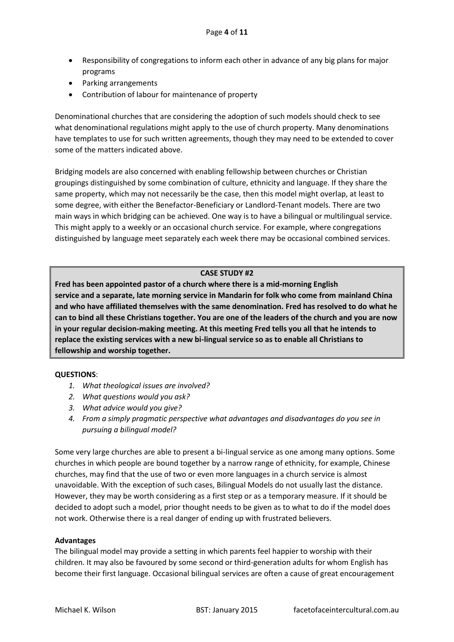- Responsibility of congregations to inform each other in advance of any big plans for major programs
- Parking arrangements
- Contribution of labour for maintenance of property

Denominational churches that are considering the adoption of such models should check to see what denominational regulations might apply to the use of church property. Many denominations have templates to use for such written agreements, though they may need to be extended to cover some of the matters indicated above.

Bridging models are also concerned with enabling fellowship between churches or Christian groupings distinguished by some combination of culture, ethnicity and language. If they share the same property, which may not necessarily be the case, then this model might overlap, at least to some degree, with either the Benefactor-Beneficiary or Landlord-Tenant models. There are two main ways in which bridging can be achieved. One way is to have a bilingual or multilingual service. This might apply to a weekly or an occasional church service. For example, where congregations distinguished by language meet separately each week there may be occasional combined services.

# **CASE STUDY #2**

**Fred has been appointed pastor of a church where there is a mid-morning English service and a separate, late morning service in Mandarin for folk who come from mainland China and who have affiliated themselves with the same denomination. Fred has resolved to do what he can to bind all these Christians together. You are one of the leaders of the church and you are now in your regular decision-making meeting. At this meeting Fred tells you all that he intends to replace the existing services with a new bi-lingual service so as to enable all Christians to fellowship and worship together.**

#### **QUESTIONS**:

- *1. What theological issues are involved?*
- *2. What questions would you ask?*
- *3. What advice would you give?*
- *4. From a simply pragmatic perspective what advantages and disadvantages do you see in pursuing a bilingual model?*

Some very large churches are able to present a bi-lingual service as one among many options. Some churches in which people are bound together by a narrow range of ethnicity, for example, Chinese churches, may find that the use of two or even more languages in a church service is almost unavoidable. With the exception of such cases, Bilingual Models do not usually last the distance. However, they may be worth considering as a first step or as a temporary measure. If it should be decided to adopt such a model, prior thought needs to be given as to what to do if the model does not work. Otherwise there is a real danger of ending up with frustrated believers.

#### **Advantages**

The bilingual model may provide a setting in which parents feel happier to worship with their children. It may also be favoured by some second or third-generation adults for whom English has become their first language. Occasional bilingual services are often a cause of great encouragement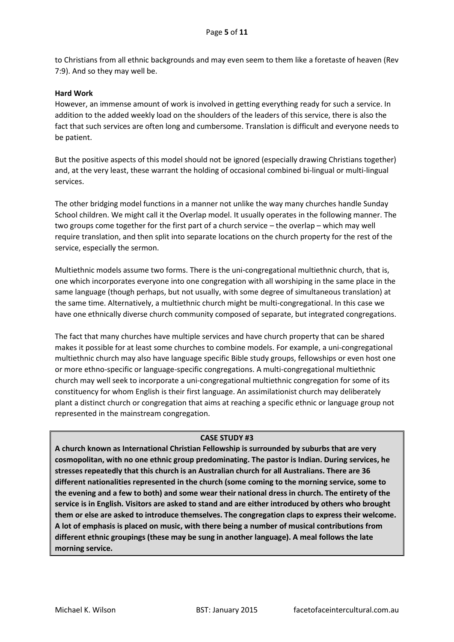to Christians from all ethnic backgrounds and may even seem to them like a foretaste of heaven (Rev 7:9). And so they may well be.

# **Hard Work**

However, an immense amount of work is involved in getting everything ready for such a service. In addition to the added weekly load on the shoulders of the leaders of this service, there is also the fact that such services are often long and cumbersome. Translation is difficult and everyone needs to be patient.

But the positive aspects of this model should not be ignored (especially drawing Christians together) and, at the very least, these warrant the holding of occasional combined bi-lingual or multi-lingual services.

The other bridging model functions in a manner not unlike the way many churches handle Sunday School children. We might call it the Overlap model. It usually operates in the following manner. The two groups come together for the first part of a church service – the overlap – which may well require translation, and then split into separate locations on the church property for the rest of the service, especially the sermon.

Multiethnic models assume two forms. There is the uni-congregational multiethnic church, that is, one which incorporates everyone into one congregation with all worshiping in the same place in the same language (though perhaps, but not usually, with some degree of simultaneous translation) at the same time. Alternatively, a multiethnic church might be multi-congregational. In this case we have one ethnically diverse church community composed of separate, but integrated congregations.

The fact that many churches have multiple services and have church property that can be shared makes it possible for at least some churches to combine models. For example, a uni-congregational multiethnic church may also have language specific Bible study groups, fellowships or even host one or more ethno-specific or language-specific congregations. A multi-congregational multiethnic church may well seek to incorporate a uni-congregational multiethnic congregation for some of its constituency for whom English is their first language. An assimilationist church may deliberately plant a distinct church or congregation that aims at reaching a specific ethnic or language group not represented in the mainstream congregation.

### **CASE STUDY #3**

**A church known as International Christian Fellowship is surrounded by suburbs that are very cosmopolitan, with no one ethnic group predominating. The pastor is Indian. During services, he stresses repeatedly that this church is an Australian church for all Australians. There are 36 different nationalities represented in the church (some coming to the morning service, some to the evening and a few to both) and some wear their national dress in church. The entirety of the service is in English. Visitors are asked to stand and are either introduced by others who brought them or else are asked to introduce themselves. The congregation claps to express their welcome. A lot of emphasis is placed on music, with there being a number of musical contributions from different ethnic groupings (these may be sung in another language). A meal follows the late morning service.**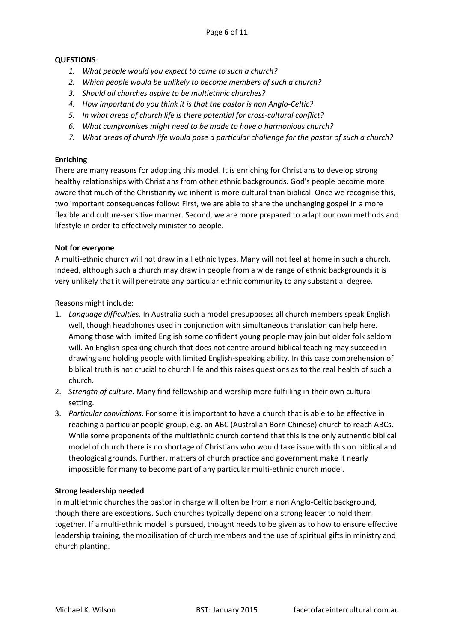# **QUESTIONS**:

- *1. What people would you expect to come to such a church?*
- *2. Which people would be unlikely to become members of such a church?*
- *3. Should all churches aspire to be multiethnic churches?*
- *4. How important do you think it is that the pastor is non Anglo-Celtic?*
- *5. In what areas of church life is there potential for cross-cultural conflict?*
- *6. What compromises might need to be made to have a harmonious church?*
- *7. What areas of church life would pose a particular challenge for the pastor of such a church?*

# **Enriching**

There are many reasons for adopting this model. It is enriching for Christians to develop strong healthy relationships with Christians from other ethnic backgrounds. God's people become more aware that much of the Christianity we inherit is more cultural than biblical. Once we recognise this, two important consequences follow: First, we are able to share the unchanging gospel in a more flexible and culture-sensitive manner. Second, we are more prepared to adapt our own methods and lifestyle in order to effectively minister to people.

# **Not for everyone**

A multi-ethnic church will not draw in all ethnic types. Many will not feel at home in such a church. Indeed, although such a church may draw in people from a wide range of ethnic backgrounds it is very unlikely that it will penetrate any particular ethnic community to any substantial degree.

Reasons might include:

- 1. *Language difficulties.* In Australia such a model presupposes all church members speak English well, though headphones used in conjunction with simultaneous translation can help here. Among those with limited English some confident young people may join but older folk seldom will. An English-speaking church that does not centre around biblical teaching may succeed in drawing and holding people with limited English-speaking ability. In this case comprehension of biblical truth is not crucial to church life and this raises questions as to the real health of such a church.
- 2. *Strength of culture*. Many find fellowship and worship more fulfilling in their own cultural setting.
- 3. *Particular convictions*. For some it is important to have a church that is able to be effective in reaching a particular people group, e.g. an ABC (Australian Born Chinese) church to reach ABCs. While some proponents of the multiethnic church contend that this is the only authentic biblical model of church there is no shortage of Christians who would take issue with this on biblical and theological grounds. Further, matters of church practice and government make it nearly impossible for many to become part of any particular multi-ethnic church model.

# **Strong leadership needed**

In multiethnic churches the pastor in charge will often be from a non Anglo-Celtic background, though there are exceptions. Such churches typically depend on a strong leader to hold them together. If a multi-ethnic model is pursued, thought needs to be given as to how to ensure effective leadership training, the mobilisation of church members and the use of spiritual gifts in ministry and church planting.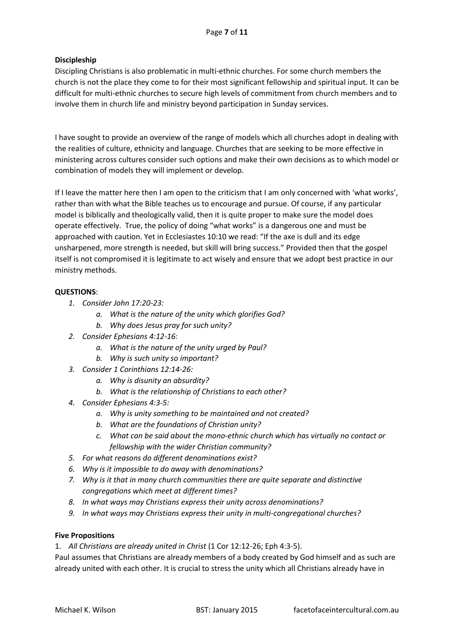# Page **7** of **11**

# **Discipleship**

Discipling Christians is also problematic in multi-ethnic churches. For some church members the church is not the place they come to for their most significant fellowship and spiritual input. It can be difficult for multi-ethnic churches to secure high levels of commitment from church members and to involve them in church life and ministry beyond participation in Sunday services.

I have sought to provide an overview of the range of models which all churches adopt in dealing with the realities of culture, ethnicity and language. Churches that are seeking to be more effective in ministering across cultures consider such options and make their own decisions as to which model or combination of models they will implement or develop.

If I leave the matter here then I am open to the criticism that I am only concerned with 'what works', rather than with what the Bible teaches us to encourage and pursue. Of course, if any particular model is biblically and theologically valid, then it is quite proper to make sure the model does operate effectively. True, the policy of doing "what works" is a dangerous one and must be approached with caution. Yet in Ecclesiastes 10:10 we read: "If the axe is dull and its edge unsharpened, more strength is needed, but skill will bring success." Provided then that the gospel itself is not compromised it is legitimate to act wisely and ensure that we adopt best practice in our ministry methods.

# **QUESTIONS**:

- *1. Consider John 17:20-23:* 
	- *a. What is the nature of the unity which glorifies God?*
	- *b. Why does Jesus pray for such unity?*
- *2. Consider Ephesians 4:12-16:*
	- *a. What is the nature of the unity urged by Paul?*
	- *b. Why is such unity so important?*
- *3. Consider 1 Corinthians 12:14-26:*
	- *a. Why is disunity an absurdity?*
	- *b. What is the relationship of Christians to each other?*
- *4. Consider Ephesians 4:3-5:*
	- *a. Why is unity something to be maintained and not created?*
	- *b. What are the foundations of Christian unity?*
	- *c. What can be said about the mono-ethnic church which has virtually no contact or fellowship with the wider Christian community?*
- *5. For what reasons do different denominations exist?*
- *6. Why is it impossible to do away with denominations?*
- *7. Why is it that in many church communities there are quite separate and distinctive congregations which meet at different times?*
- *8. In what ways may Christians express their unity across denominations?*
- *9. In what ways may Christians express their unity in multi-congregational churches?*

# **Five Propositions**

1. *All Christians are already united in Christ* (1 Cor 12:12-26; Eph 4:3-5).

Paul assumes that Christians are already members of a body created by God himself and as such are already united with each other. It is crucial to stress the unity which all Christians already have in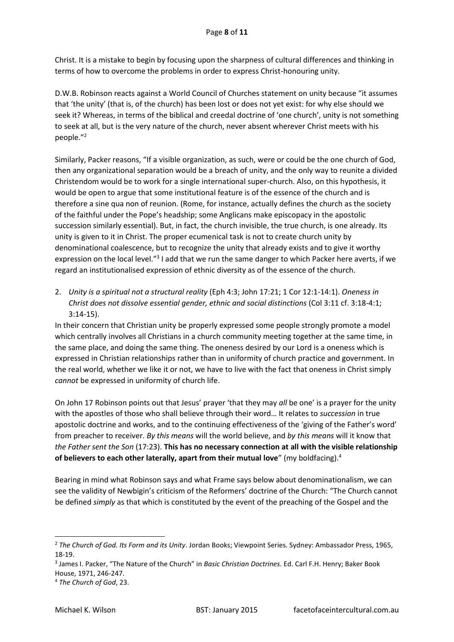Christ. It is a mistake to begin by focusing upon the sharpness of cultural differences and thinking in terms of how to overcome the problems in order to express Christ-honouring unity.

D.W.B. Robinson reacts against a World Council of Churches statement on unity because "it assumes that 'the unity' (that is, of the church) has been lost or does not yet exist: for why else should we seek it? Whereas, in terms of the biblical and creedal doctrine of 'one church', unity is not something to seek at all, but is the very nature of the church, never absent wherever Christ meets with his people."<sup>2</sup>

Similarly, Packer reasons, "If a visible organization, as such, were or could be the one church of God, then any organizational separation would be a breach of unity, and the only way to reunite a divided Christendom would be to work for a single international super-church. Also, on this hypothesis, it would be open to argue that some institutional feature is of the essence of the church and is therefore a sine qua non of reunion. (Rome, for instance, actually defines the church as the society of the faithful under the Pope's headship; some Anglicans make episcopacy in the apostolic succession similarly essential). But, in fact, the church invisible, the true church, is one already. Its unity is given to it in Christ. The proper ecumenical task is not to create church unity by denominational coalescence, but to recognize the unity that already exists and to give it worthy expression on the local level."<sup>3</sup> I add that we run the same danger to which Packer here averts, if we regard an institutionalised expression of ethnic diversity as of the essence of the church.

2. *Unity is a spiritual not a structural reality* (Eph 4:3; John 17:21; 1 Cor 12:1-14:1). *Oneness in Christ does not dissolve essential gender, ethnic and social distinctions* (Col 3:11 cf. 3:18-4:1; 3:14-15).

In their concern that Christian unity be properly expressed some people strongly promote a model which centrally involves all Christians in a church community meeting together at the same time, in the same place, and doing the same thing. The oneness desired by our Lord is a oneness which is expressed in Christian relationships rather than in uniformity of church practice and government. In the real world, whether we like it or not, we have to live with the fact that oneness in Christ simply *cannot* be expressed in uniformity of church life.

On John 17 Robinson points out that Jesus' prayer 'that they may *all* be one' is a prayer for the unity with the apostles of those who shall believe through their word… It relates to *succession* in true apostolic doctrine and works, and to the continuing effectiveness of the 'giving of the Father's word' from preacher to receiver. *By this means* will the world believe, and *by this means* will it know that *the Father sent the Son* (17:23). **This has no necessary connection at all with the visible relationship of believers to each other laterally, apart from their mutual love**" (my boldfacing).<sup>4</sup>

Bearing in mind what Robinson says and what Frame says below about denominationalism, we can see the validity of Newbigin's criticism of the Reformers' doctrine of the Church: "The Church cannot be defined *simply* as that which is constituted by the event of the preaching of the Gospel and the

 $\overline{a}$ 

<sup>2</sup> *The Church of God. Its Form and its Unity*. Jordan Books; Viewpoint Series. Sydney: Ambassador Press, 1965, 18-19.

<sup>3</sup> James I. Packer, "The Nature of the Church" in *Basic Christian Doctrines*. Ed. Carl F.H. Henry; Baker Book House, 1971, 246-247.

<sup>4</sup> *The Church of God*, 23.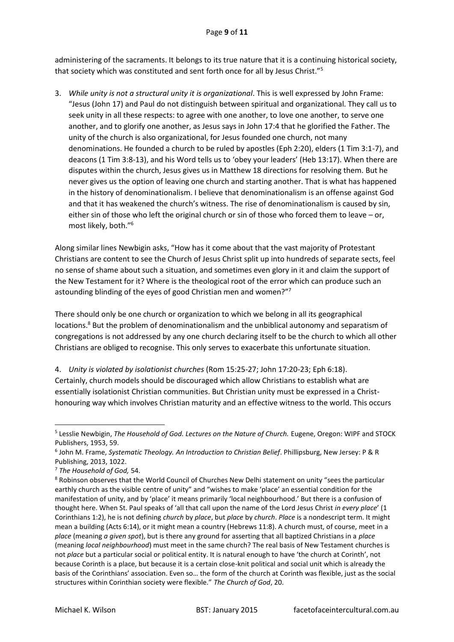administering of the sacraments. It belongs to its true nature that it is a continuing historical society, that society which was constituted and sent forth once for all by Jesus Christ."<sup>5</sup>

3. *While unity is not a structural unity it is organizational*. This is well expressed by John Frame: "Jesus (John 17) and Paul do not distinguish between spiritual and organizational. They call us to seek unity in all these respects: to agree with one another, to love one another, to serve one another, and to glorify one another, as Jesus says in John 17:4 that he glorified the Father. The unity of the church is also organizational, for Jesus founded one church, not many denominations. He founded a church to be ruled by apostles (Eph 2:20), elders (1 Tim 3:1-7), and deacons (1 Tim 3:8-13), and his Word tells us to 'obey your leaders' (Heb 13:17). When there are disputes within the church, Jesus gives us in Matthew 18 directions for resolving them. But he never gives us the option of leaving one church and starting another. That is what has happened in the history of denominationalism. I believe that denominationalism is an offense against God and that it has weakened the church's witness. The rise of denominationalism is caused by sin, either sin of those who left the original church or sin of those who forced them to leave – or, most likely, both."<sup>6</sup>

Along similar lines Newbigin asks, "How has it come about that the vast majority of Protestant Christians are content to see the Church of Jesus Christ split up into hundreds of separate sects, feel no sense of shame about such a situation, and sometimes even glory in it and claim the support of the New Testament for it? Where is the theological root of the error which can produce such an astounding blinding of the eyes of good Christian men and women?"<sup>7</sup>

There should only be one church or organization to which we belong in all its geographical locations.<sup>8</sup> But the problem of denominationalism and the unbiblical autonomy and separatism of congregations is not addressed by any one church declaring itself to be the church to which all other Christians are obliged to recognise. This only serves to exacerbate this unfortunate situation.

4. *Unity is violated by isolationist churches* (Rom 15:25-27; John 17:20-23; Eph 6:18). Certainly, church models should be discouraged which allow Christians to establish what are essentially isolationist Christian communities. But Christian unity must be expressed in a Christhonouring way which involves Christian maturity and an effective witness to the world. This occurs

**.** 

<sup>&</sup>lt;sup>5</sup> Lesslie Newbigin, The Household of God. Lectures on the Nature of Church. Eugene, Oregon: WIPF and STOCK Publishers, 1953, 59.

<sup>6</sup> John M. Frame, *Systematic Theology. An Introduction to Christian Belief*. Phillipsburg, New Jersey: P & R Publishing, 2013, 1022.

<sup>7</sup> *The Household of God,* 54.

<sup>8</sup> Robinson observes that the World Council of Churches New Delhi statement on unity "sees the particular earthly church as the visible centre of unity" and "wishes to make 'place' an essential condition for the manifestation of unity, and by 'place' it means primarily 'local neighbourhood.' But there is a confusion of thought here. When St. Paul speaks of 'all that call upon the name of the Lord Jesus Christ *in every place*' (1 Corinthians 1:2), he is not defining *church* by *place*, but *place* by *church*. *Place* is a nondescript term. It might mean a building (Acts 6:14), or it might mean a country (Hebrews 11:8). A church must, of course, meet in a *place* (meaning *a given spot*), but is there any ground for asserting that all baptized Christians in a *place* (meaning *local neighbourhood*) must meet in the same church? The real basis of New Testament churches is not *place* but a particular social or political entity. It is natural enough to have 'the church at Corinth', not because Corinth is a place, but because it is a certain close-knit political and social unit which is already the basis of the Corinthians' association. Even so… the form of the church at Corinth was flexible, just as the social structures within Corinthian society were flexible." *The Church of God*, 20.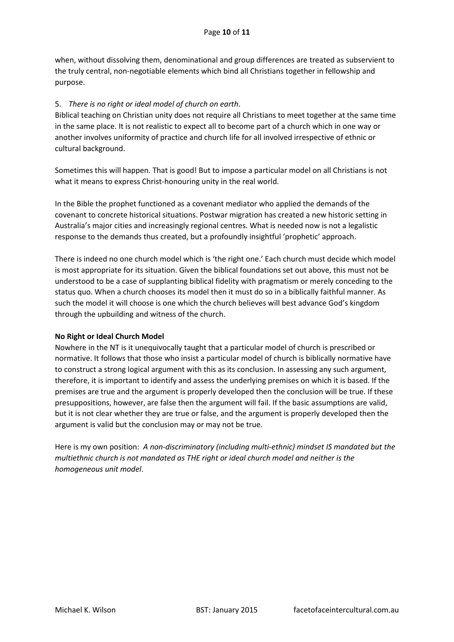when, without dissolving them, denominational and group differences are treated as subservient to the truly central, non-negotiable elements which bind all Christians together in fellowship and purpose.

# 5. *There is no right or ideal model of church on earth*.

Biblical teaching on Christian unity does not require all Christians to meet together at the same time in the same place. It is not realistic to expect all to become part of a church which in one way or another involves uniformity of practice and church life for all involved irrespective of ethnic or cultural background.

Sometimes this will happen. That is good! But to impose a particular model on all Christians is not what it means to express Christ-honouring unity in the real world.

In the Bible the prophet functioned as a covenant mediator who applied the demands of the covenant to concrete historical situations. Postwar migration has created a new historic setting in Australia's major cities and increasingly regional centres. What is needed now is not a legalistic response to the demands thus created, but a profoundly insightful 'prophetic' approach.

There is indeed no one church model which is 'the right one.' Each church must decide which model is most appropriate for its situation. Given the biblical foundations set out above, this must not be understood to be a case of supplanting biblical fidelity with pragmatism or merely conceding to the status quo. When a church chooses its model then it must do so in a biblically faithful manner. As such the model it will choose is one which the church believes will best advance God's kingdom through the upbuilding and witness of the church.

# **No Right or Ideal Church Model**

Nowhere in the NT is it unequivocally taught that a particular model of church is prescribed or normative. It follows that those who insist a particular model of church is biblically normative have to construct a strong logical argument with this as its conclusion. In assessing any such argument, therefore, it is important to identify and assess the underlying premises on which it is based. If the premises are true and the argument is properly developed then the conclusion will be true. If these presuppositions, however, are false then the argument will fail. If the basic assumptions are valid, but it is not clear whether they are true or false, and the argument is properly developed then the argument is valid but the conclusion may or may not be true.

Here is my own position: *A non-discriminatory (including multi-ethnic) mindset IS mandated but the multiethnic church is not mandated as THE right or ideal church model and neither is the homogeneous unit model*.